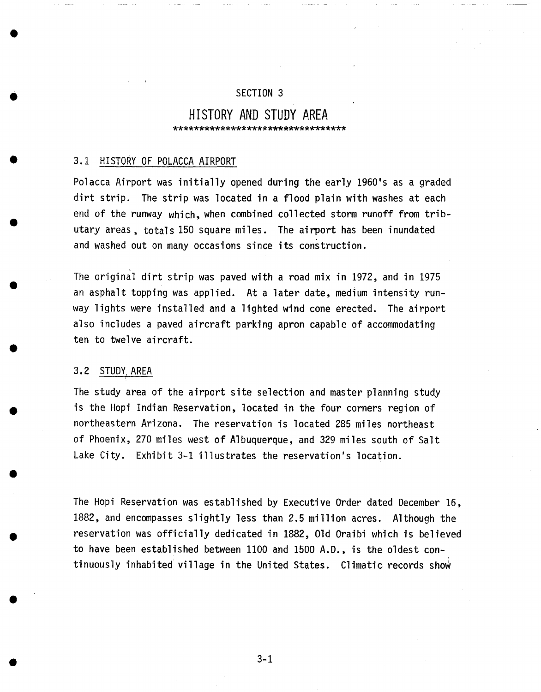## SECTION 3

## **HISTORY AND STUDY AREA**  \*\*\*\*\*\*\*\*\*\*\*\*\*\*\*\*\*\*\*\*\*\*\*\*\*\*\*\*\*\*\*\*\*

## 3.1 HISTORY OF POLACCA AIRPORT

Polacca Airport was initially opened during the early 1960's as a graded dirt strip. The strip was located in a flood plain with washes at each end of the runway which, when combined collected storm runoff from tributary areas, totals 150 square miles. The airport has been inundated and washed out on many occasions since its construction.

The original dirt strip was paved with a road mix in 1972, and in 1975 an asphalt topping was applied. At a later date, medium intensity runway lights were installed and a lighted wind cone erected. The airport also includes a paved aircraft parking apron capable of accommodating ten to twelve aircraft.

## 3.2 STUDY AREA f

The study area of the airport site selection and master planning study is the Hopi Indian Reservation, located in the four corners region of northeastern Arizona. The reservation is located 285 miles northeast of Phoenix, 270 miles west of Albuquerque, and 329 miles south of Salt Lake City. Exhibit 3-1 illustrates the reservation's location.

The Hopi Reservation was established by Executive Order dated December 16, 1882, and encompasses slightly less than 2.5 million acres. Although the reservation was officially dedicated in 1882, Old Oraibi which is believed to have been established between 1100 and 1500 A.D., is the oldest continuously inhabited village in the United States. Climatic records show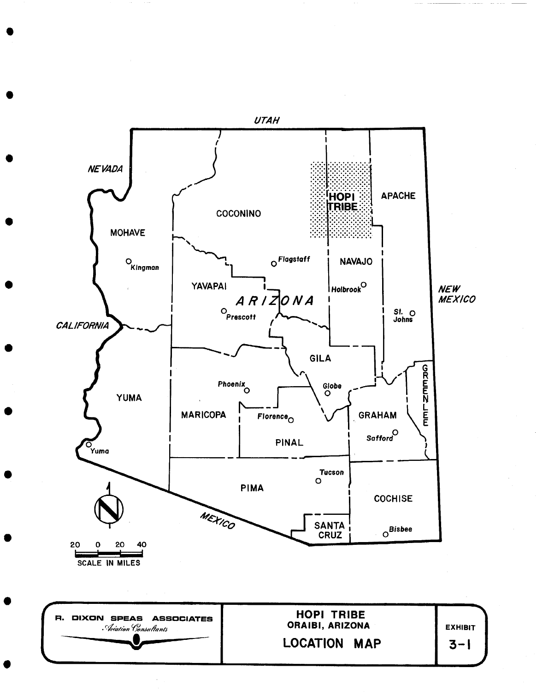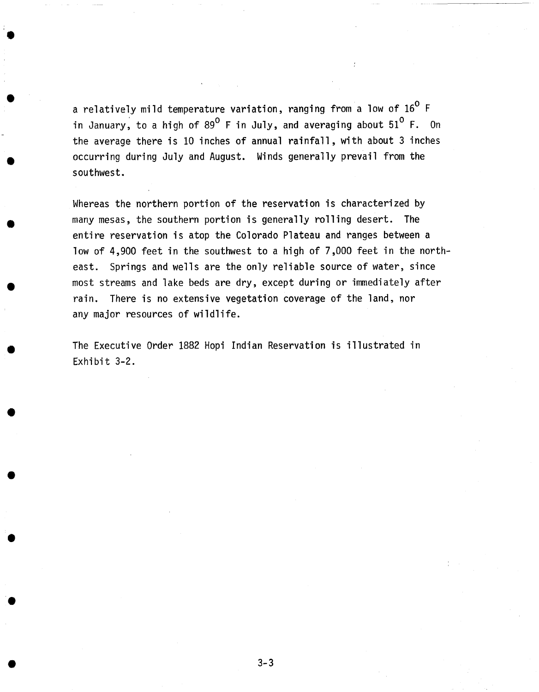a relatively mild temperature variation, ranging from a low of  $16^{\circ}$  F in January, to a high of  $89^{\circ}$  F in July, and averaging about  $51^{\circ}$  F. On the average there is I0 inches of annual rainfall, with about 3 inches occurring during July and August. Winds generally prevail from the southwest.

Whereas the northern portion of the reservation is characterized by many mesas, the southern portion is generally rolling desert. The entire reservation is atop the Colorado Plateau and ranges between a low of 4,900 feet in the southwest to a high of 7,000 feet in the northeast. Springs and wells are the only reliable source of water, since most streams and lake beds are dry, except during or immediately after rain. There is no extensive vegetation coverage of the land, nor any major resources of wildlife.

The Executive Order 1882 Hopi Indian Reservation is illustrated in Exhibit 3-2.